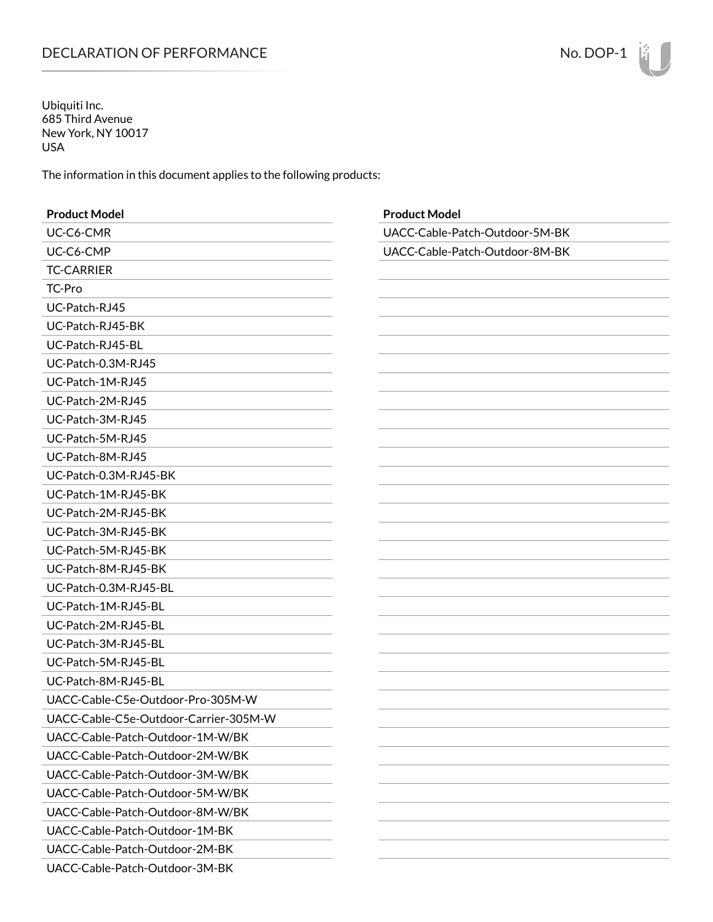## DECLARATION OF PERFORMANCE NO. 2007-1

Ubiquiti Inc. 685 Third Avenue New York, NY 10017 USA

The information in this document applies to the following products:

| <b>Product Model</b>                  | <b>Product Model</b>           |
|---------------------------------------|--------------------------------|
| UC-C6-CMR                             | UACC-Cable-Patch-Outdoor-5M-BK |
| UC-C6-CMP                             | UACC-Cable-Patch-Outdoor-8M-BK |
| <b>TC-CARRIER</b>                     |                                |
| TC-Pro                                |                                |
| UC-Patch-RJ45                         |                                |
| UC-Patch-RJ45-BK                      |                                |
| UC-Patch-RJ45-BL                      |                                |
| UC-Patch-0.3M-RJ45                    |                                |
| UC-Patch-1M-RJ45                      |                                |
| UC-Patch-2M-RJ45                      |                                |
| UC-Patch-3M-RJ45                      |                                |
| UC-Patch-5M-RJ45                      |                                |
| UC-Patch-8M-RJ45                      |                                |
| UC-Patch-0.3M-RJ45-BK                 |                                |
| UC-Patch-1M-RJ45-BK                   |                                |
| UC-Patch-2M-RJ45-BK                   |                                |
| UC-Patch-3M-RJ45-BK                   |                                |
| UC-Patch-5M-RJ45-BK                   |                                |
| UC-Patch-8M-RJ45-BK                   |                                |
| UC-Patch-0.3M-RJ45-BL                 |                                |
| UC-Patch-1M-RJ45-BL                   |                                |
| UC-Patch-2M-RJ45-BL                   |                                |
| UC-Patch-3M-RJ45-BL                   |                                |
| UC-Patch-5M-RJ45-BL                   |                                |
| UC-Patch-8M-RJ45-BL                   |                                |
| UACC-Cable-C5e-Outdoor-Pro-305M-W     |                                |
| UACC-Cable-C5e-Outdoor-Carrier-305M-W |                                |
| UACC-Cable-Patch-Outdoor-1M-W/BK      |                                |
| UACC-Cable-Patch-Outdoor-2M-W/BK      |                                |
| UACC-Cable-Patch-Outdoor-3M-W/BK      |                                |
| UACC-Cable-Patch-Outdoor-5M-W/BK      |                                |
| UACC-Cable-Patch-Outdoor-8M-W/BK      |                                |
| UACC-Cable-Patch-Outdoor-1M-BK        |                                |
| UACC-Cable-Patch-Outdoor-2M-BK        |                                |
| UACC-Cable-Patch-Outdoor-3M-BK        |                                |